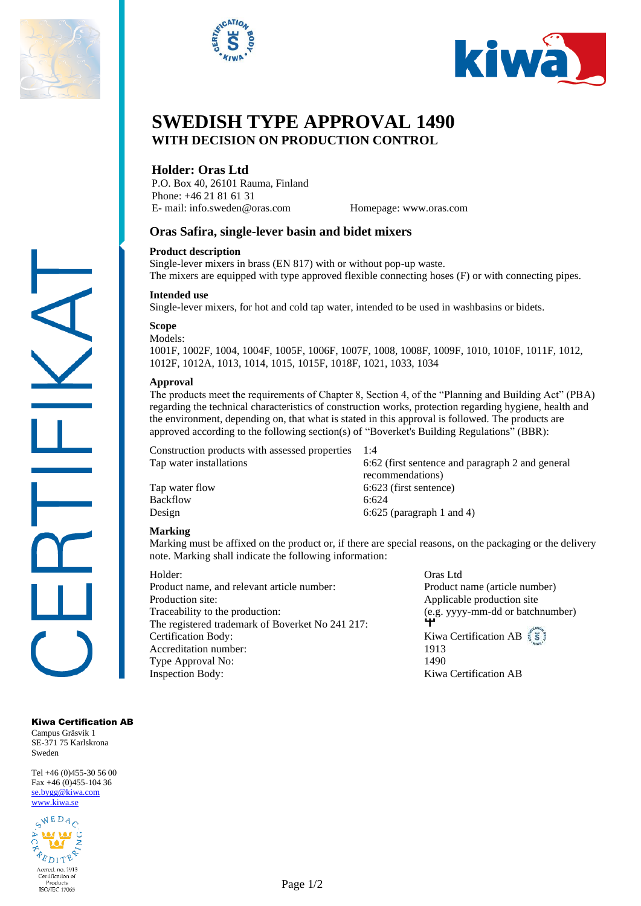





# **SWEDISH TYPE APPROVAL 1490 WITH DECISION ON PRODUCTION CONTROL**

# **Holder: Oras Ltd**

P.O. Box 40, 26101 Rauma, Finland Phone: +46 21 81 61 31 E- mail: info.sweden@oras.com Homepage: www.oras.com

## **Oras Safira, single-lever basin and bidet mixers**

#### **Product description**

Single-lever mixers in brass (EN 817) with or without pop-up waste. The mixers are equipped with type approved flexible connecting hoses (F) or with connecting pipes.

#### **Intended use**

Single-lever mixers, for hot and cold tap water, intended to be used in washbasins or bidets.

#### **Scope** Models<sup>.</sup>

1001F, 1002F, 1004, 1004F, 1005F, 1006F, 1007F, 1008, 1008F, 1009F, 1010, 1010F, 1011F, 1012, 1012F, 1012A, 1013, 1014, 1015, 1015F, 1018F, 1021, 1033, 1034

#### **Approval**

The products meet the requirements of Chapter 8, Section 4, of the "Planning and Building Act" (PBA) regarding the technical characteristics of construction works, protection regarding hygiene, health and the environment, depending on, that what is stated in this approval is followed. The products are approved according to the following section(s) of "Boverket's Building Regulations" (BBR):

Construction products with assessed properties 1:4

Tap water flow 6:623 (first sentence) Backflow 6:624

Tap water installations 6:62 (first sentence and paragraph 2 and general recommendations) Design 6:625 (paragraph 1 and 4)

#### **Marking**

Marking must be affixed on the product or, if there are special reasons, on the packaging or the delivery note. Marking shall indicate the following information:

Holder: Oras Ltd Product name, and relevant article number: Product name (article number) Production site:<br>
Applicable production site Traceability to the production: (e.g. yyyy-mm-dd or batchnumber)<br>The registered tradement of Beyselest N- 241,217 The registered trademark of Boverket No 241 217: **Certification Body:** Kiwa Certification AB Accreditation number: 1913 Type Approval No: 1490 Inspection Body: Kiwa Certification AB

Kiwa Certification AB

Campus Gräsvik 1 SE-371 75 Karlskrona Sweden

Tel +46 (0)455-30 56 00 Fax +46 (0)455-104 36 [se.bygg@kiwa.com](file://///sekiw-mainframe/gemensam/Bygg%20och%20Energi/2%20Kunder/H/Hansgrohe%20SE/pågående%20ärenden/128-19_TG%201395%20rev2_1-grepps%20TS-blandare%20för%202-håls%20inbyggnad%20i%20vägg_AXOR%20MyEdition_(EN%20817)/Certifikat%20utkast/se.bygg@kiwa.com) [www.kiwa.se](http://www.kiwa.se/)